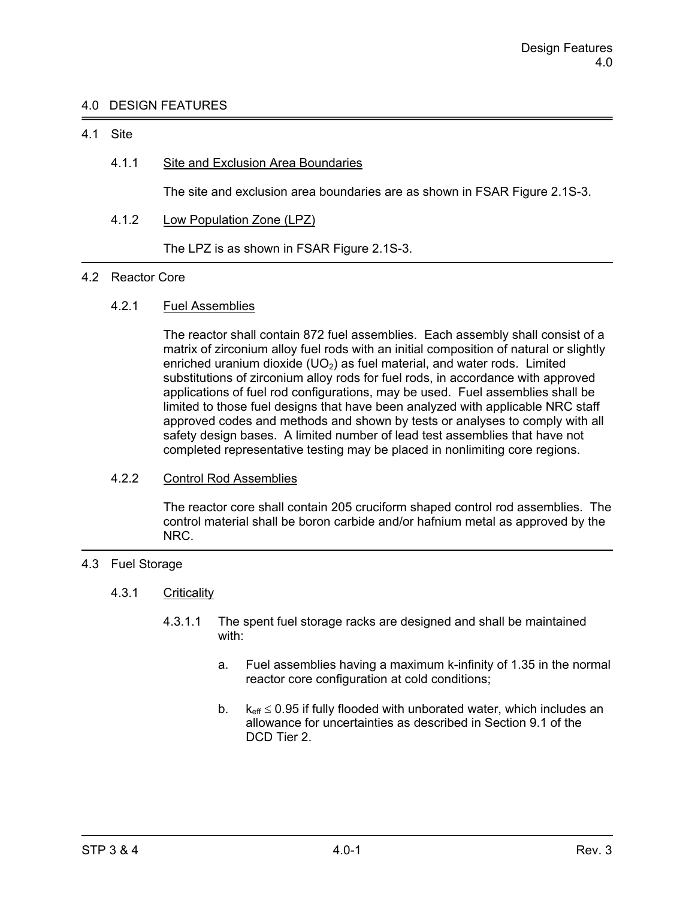# 4.0 DESIGN FEATURES

### 4.1 Site

# 4.1.1 Site and Exclusion Area Boundaries

The site and exclusion area boundaries are as shown in FSAR Figure 2.1S-3.

4.1.2 Low Population Zone (LPZ)

The LPZ is as shown in FSAR Figure 2.1S-3.

#### 4.2 Reactor Core

# 4.2.1 Fuel Assemblies

 The reactor shall contain 872 fuel assemblies. Each assembly shall consist of a matrix of zirconium alloy fuel rods with an initial composition of natural or slightly enriched uranium dioxide  $(UD<sub>2</sub>)$  as fuel material, and water rods. Limited substitutions of zirconium alloy rods for fuel rods, in accordance with approved applications of fuel rod configurations, may be used. Fuel assemblies shall be limited to those fuel designs that have been analyzed with applicable NRC staff approved codes and methods and shown by tests or analyses to comply with all safety design bases. A limited number of lead test assemblies that have not completed representative testing may be placed in nonlimiting core regions.

# 4.2.2 Control Rod Assemblies

 The reactor core shall contain 205 cruciform shaped control rod assemblies. The control material shall be boron carbide and/or hafnium metal as approved by the NRC.

# 4.3 Fuel Storage

### 4.3.1 Criticality

- 4.3.1.1 The spent fuel storage racks are designed and shall be maintained with:
	- a. Fuel assemblies having a maximum k-infinity of 1.35 in the normal reactor core configuration at cold conditions;
	- b.  $k_{\text{eff}} \leq 0.95$  if fully flooded with unborated water, which includes an allowance for uncertainties as described in Section 9.1 of the DCD Tier 2.